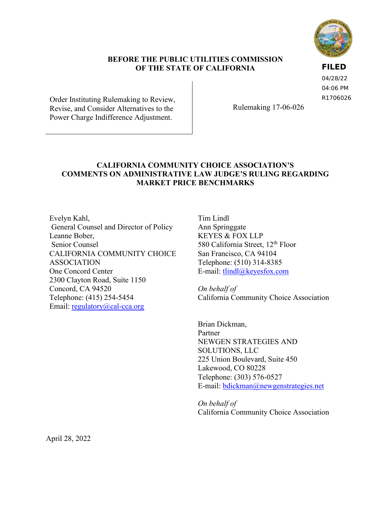

#### **BEFORE THE PUBLIC UTILITIES COMMISSION OF THE STATE OF CALIFORNIA**

**FILED**

04/28/22 04:06 PM R1706026

Order Instituting Rulemaking to Review, Revise, and Consider Alternatives to the Power Charge Indifference Adjustment.

Rulemaking 17-06-026

## **CALIFORNIA COMMUNITY CHOICE ASSOCIATION'S COMMENTS ON ADMINISTRATIVE LAW JUDGE'S RULING REGARDING MARKET PRICE BENCHMARKS**

Evelyn Kahl, General Counsel and Director of Policy Leanne Bober, Senior Counsel CALIFORNIA COMMUNITY CHOICE ASSOCIATION One Concord Center 2300 Clayton Road, Suite 1150 Concord, CA 94520 Telephone: (415) 254-5454 Email: [regulatory@cal-cca.org](mailto:regulatory@cal-cca.org)

Tim Lindl Ann Springgate KEYES & FOX LLP 580 California Street, 12<sup>th</sup> Floor San Francisco, CA 94104 Telephone: (510) 314-8385 E-mail: [tlindl@keyesfox.com](mailto:tlindl@keyesfox.com)

*On behalf of*  California Community Choice Association

Brian Dickman, Partner NEWGEN STRATEGIES AND SOLUTIONS, LLC 225 Union Boulevard, Suite 450 Lakewood, CO 80228 Telephone: (303) 576-0527 E-mail: [bdickman@newgenstrategies.net](mailto:bdickman@newgenstrategies.net)

*On behalf of*  California Community Choice Association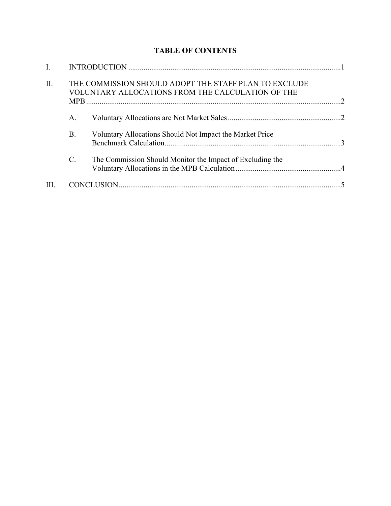# **TABLE OF CONTENTS**

| I.   |                 |                                                                                                            |  |
|------|-----------------|------------------------------------------------------------------------------------------------------------|--|
| II.  |                 | THE COMMISSION SHOULD ADOPT THE STAFF PLAN TO EXCLUDE<br>VOLUNTARY ALLOCATIONS FROM THE CALCULATION OF THE |  |
|      | A.              |                                                                                                            |  |
|      | <b>B.</b>       | Voluntary Allocations Should Not Impact the Market Price                                                   |  |
|      | $\mathcal{C}$ . | The Commission Should Monitor the Impact of Excluding the                                                  |  |
| III. |                 |                                                                                                            |  |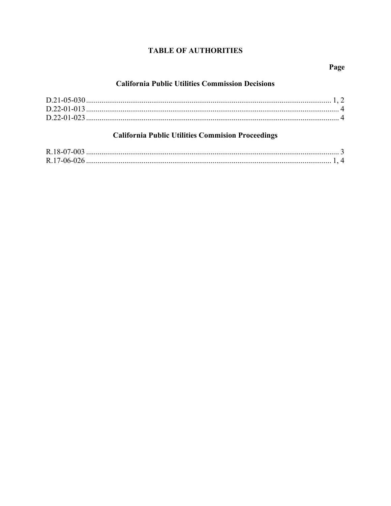# **TABLE OF AUTHORITIES**

## Page

#### **California Public Utilities Commission Decisions**

# **California Public Utilities Commision Proceedings**

| R.17-06-026 |  |
|-------------|--|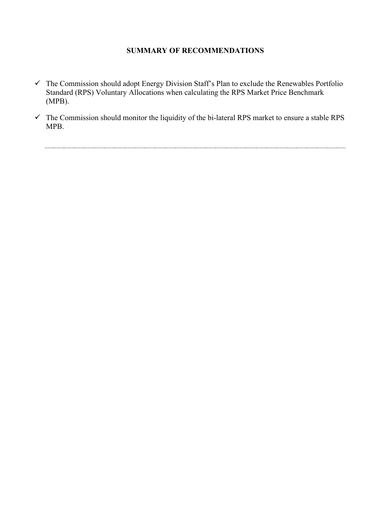## **SUMMARY OF RECOMMENDATIONS**

- $\checkmark$  The Commission should adopt Energy Division Staff's Plan to exclude the Renewables Portfolio Standard (RPS) Voluntary Allocations when calculating the RPS Market Price Benchmark (MPB).
- $\checkmark$  The Commission should monitor the liquidity of the bi-lateral RPS market to ensure a stable RPS MPB.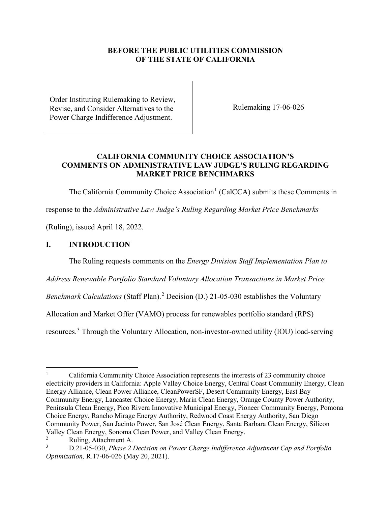#### **BEFORE THE PUBLIC UTILITIES COMMISSION OF THE STATE OF CALIFORNIA**

Order Instituting Rulemaking to Review, Revise, and Consider Alternatives to the Power Charge Indifference Adjustment.

Rulemaking 17-06-026

#### **CALIFORNIA COMMUNITY CHOICE ASSOCIATION'S COMMENTS ON ADMINISTRATIVE LAW JUDGE'S RULING REGARDING MARKET PRICE BENCHMARKS**

The California Community Choice Association<sup>[1](#page-4-1)</sup> (CalCCA) submits these Comments in

response to the *Administrative Law Judge's Ruling Regarding Market Price Benchmarks*

(Ruling), issued April 18, 2022.

#### <span id="page-4-0"></span>**I. INTRODUCTION**

The Ruling requests comments on the *Energy Division Staff Implementation Plan to* 

*Address Renewable Portfolio Standard Voluntary Allocation Transactions in Market Price* 

Benchmark Calculations (Staff Plan).<sup>[2](#page-4-2)</sup> Decision (D.) 21-05-030 establishes the Voluntary

Allocation and Market Offer (VAMO) process for renewables portfolio standard (RPS)

resources.<sup>[3](#page-4-3)</sup> Through the Voluntary Allocation, non-investor-owned utility (IOU) load-serving

<span id="page-4-1"></span><sup>1</sup> California Community Choice Association represents the interests of 23 community choice electricity providers in California: Apple Valley Choice Energy, Central Coast Community Energy, Clean Energy Alliance, Clean Power Alliance, CleanPowerSF, Desert Community Energy, East Bay Community Energy, Lancaster Choice Energy, Marin Clean Energy, Orange County Power Authority, Peninsula Clean Energy, Pico Rivera Innovative Municipal Energy, Pioneer Community Energy, Pomona Choice Energy, Rancho Mirage Energy Authority, Redwood Coast Energy Authority, San Diego Community Power, San Jacinto Power, San José Clean Energy, Santa Barbara Clean Energy, Silicon Valley Clean Energy, Sonoma Clean Power, and Valley Clean Energy.

<span id="page-4-2"></span><sup>2</sup> Ruling, Attachment A.

<span id="page-4-3"></span><sup>3</sup> D.21-05-030, *Phase 2 Decision on Power Charge Indifference Adjustment Cap and Portfolio Optimization,* R.17-06-026 (May 20, 2021).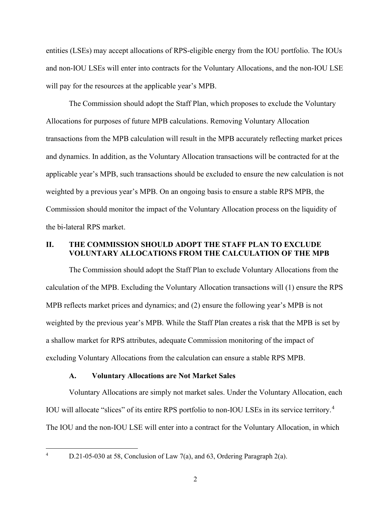entities (LSEs) may accept allocations of RPS-eligible energy from the IOU portfolio. The IOUs and non-IOU LSEs will enter into contracts for the Voluntary Allocations, and the non-IOU LSE will pay for the resources at the applicable year's MPB.

The Commission should adopt the Staff Plan, which proposes to exclude the Voluntary Allocations for purposes of future MPB calculations. Removing Voluntary Allocation transactions from the MPB calculation will result in the MPB accurately reflecting market prices and dynamics. In addition, as the Voluntary Allocation transactions will be contracted for at the applicable year's MPB, such transactions should be excluded to ensure the new calculation is not weighted by a previous year's MPB. On an ongoing basis to ensure a stable RPS MPB, the Commission should monitor the impact of the Voluntary Allocation process on the liquidity of the bi-lateral RPS market.

#### <span id="page-5-0"></span>**II. THE COMMISSION SHOULD ADOPT THE STAFF PLAN TO EXCLUDE VOLUNTARY ALLOCATIONS FROM THE CALCULATION OF THE MPB**

The Commission should adopt the Staff Plan to exclude Voluntary Allocations from the calculation of the MPB. Excluding the Voluntary Allocation transactions will (1) ensure the RPS MPB reflects market prices and dynamics; and (2) ensure the following year's MPB is not weighted by the previous year's MPB. While the Staff Plan creates a risk that the MPB is set by a shallow market for RPS attributes, adequate Commission monitoring of the impact of excluding Voluntary Allocations from the calculation can ensure a stable RPS MPB.

#### **A. Voluntary Allocations are Not Market Sales**

<span id="page-5-1"></span>Voluntary Allocations are simply not market sales. Under the Voluntary Allocation, each IOU will allocate "slices" of its entire RPS portfolio to non-IOU LSEs in its service territory.[4](#page-5-2) The IOU and the non-IOU LSE will enter into a contract for the Voluntary Allocation, in which

<span id="page-5-2"></span>4

D.21-05-030 at 58, Conclusion of Law 7(a), and 63, Ordering Paragraph 2(a).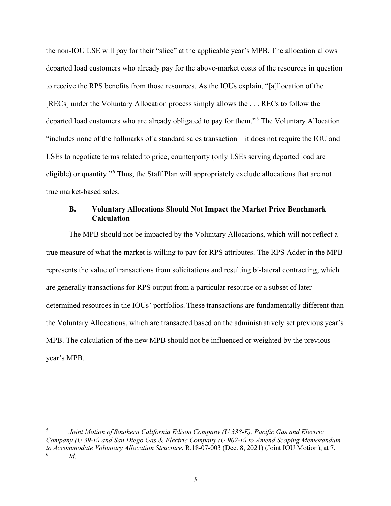the non-IOU LSE will pay for their "slice" at the applicable year's MPB. The allocation allows departed load customers who already pay for the above-market costs of the resources in question to receive the RPS benefits from those resources. As the IOUs explain, "[a]llocation of the [RECs] under the Voluntary Allocation process simply allows the . . . RECs to follow the departed load customers who are already obligated to pay for them."<sup>[5](#page-6-1)</sup> The Voluntary Allocation "includes none of the hallmarks of a standard sales transaction – it does not require the IOU and LSEs to negotiate terms related to price, counterparty (only LSEs serving departed load are eligible) or quantity."<sup>[6](#page-6-2)</sup> Thus, the Staff Plan will appropriately exclude allocations that are not true market-based sales.

#### <span id="page-6-0"></span>**B. Voluntary Allocations Should Not Impact the Market Price Benchmark Calculation**

The MPB should not be impacted by the Voluntary Allocations, which will not reflect a true measure of what the market is willing to pay for RPS attributes. The RPS Adder in the MPB represents the value of transactions from solicitations and resulting bi-lateral contracting, which are generally transactions for RPS output from a particular resource or a subset of laterdetermined resources in the IOUs' portfolios. These transactions are fundamentally different than the Voluntary Allocations, which are transacted based on the administratively set previous year's MPB. The calculation of the new MPB should not be influenced or weighted by the previous year's MPB.

<span id="page-6-2"></span><span id="page-6-1"></span><sup>5</sup> *Joint Motion of Southern California Edison Company (U 338-E), Pacific Gas and Electric Company (U 39-E) and San Diego Gas & Electric Company (U 902-E) to Amend Scoping Memorandum to Accommodate Voluntary Allocation Structure*, R.18-07-003 (Dec. 8, 2021) (Joint IOU Motion), at 7. *Id.*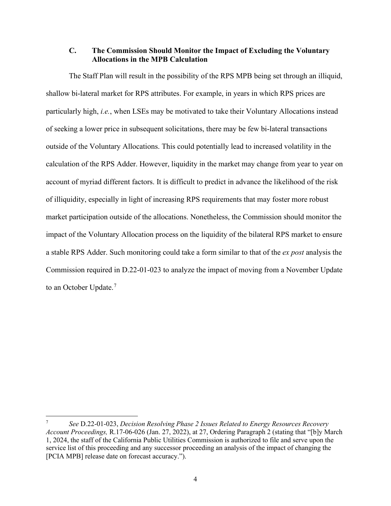#### <span id="page-7-0"></span>**C. The Commission Should Monitor the Impact of Excluding the Voluntary Allocations in the MPB Calculation**

The Staff Plan will result in the possibility of the RPS MPB being set through an illiquid, shallow bi-lateral market for RPS attributes. For example, in years in which RPS prices are particularly high, *i.e.*, when LSEs may be motivated to take their Voluntary Allocations instead of seeking a lower price in subsequent solicitations, there may be few bi-lateral transactions outside of the Voluntary Allocations. This could potentially lead to increased volatility in the calculation of the RPS Adder. However, liquidity in the market may change from year to year on account of myriad different factors. It is difficult to predict in advance the likelihood of the risk of illiquidity, especially in light of increasing RPS requirements that may foster more robust market participation outside of the allocations. Nonetheless, the Commission should monitor the impact of the Voluntary Allocation process on the liquidity of the bilateral RPS market to ensure a stable RPS Adder. Such monitoring could take a form similar to that of the *ex post* analysis the Commission required in D.22-01-023 to analyze the impact of moving from a November Update to an October Update.<sup>[7](#page-7-1)</sup>

<span id="page-7-1"></span><sup>7</sup> *See* D.22-01-023, *Decision Resolving Phase 2 Issues Related to Energy Resources Recovery Account Proceedings,* R.17-06-026 (Jan. 27, 2022), at 27, Ordering Paragraph 2 (stating that "[b]y March 1, 2024, the staff of the California Public Utilities Commission is authorized to file and serve upon the service list of this proceeding and any successor proceeding an analysis of the impact of changing the [PCIA MPB] release date on forecast accuracy.").